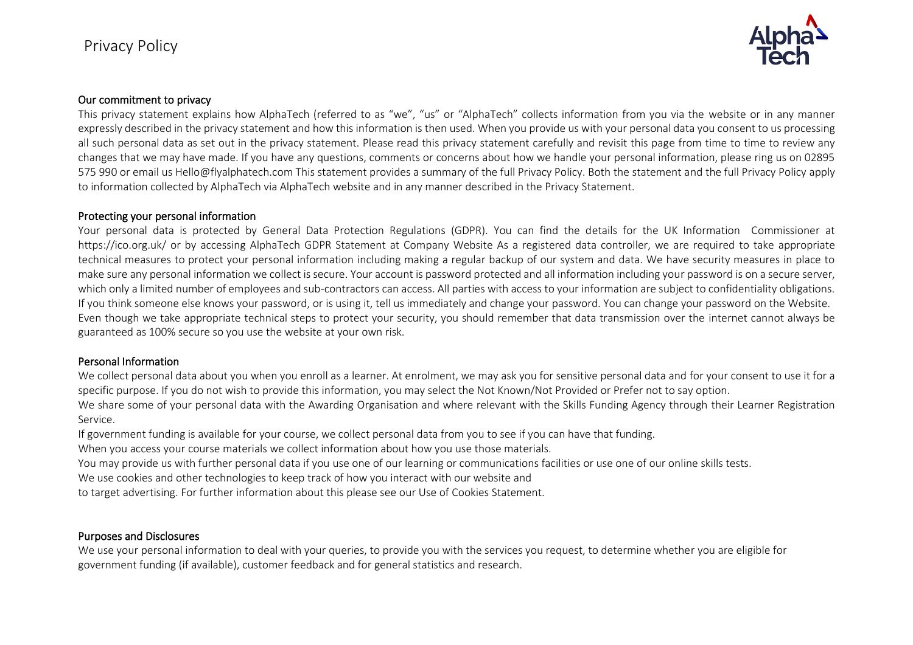

## Our commitment to privacy

This privacy statement explains how AlphaTech (referred to as "we", "us" or "AlphaTech" collects information from you via the website or in any manner expressly described in the privacy statement and how this information is then used. When you provide us with your personal data you consent to us processing all such personal data as set out in the privacy statement. Please read this privacy statement carefully and revisit this page from time to time to review any changes that we may have made. If you have any questions, comments or concerns about how we handle your personal information, please ring us on 02895 575 990 or email us Hello@flyalphatech.com This statement provides a summary of the full Privacy Policy. Both the statement and the full Privacy Policy apply to information collected by AlphaTech via AlphaTech website and in any manner described in the Privacy Statement.

#### Protecting your personal information

Your personal data is protected by General Data Protection Regulations (GDPR). You can find the details for the UK Information Commissioner at https://ico.org.uk/ or by accessing AlphaTech GDPR Statement at Company Website As a registered data controller, we are required to take appropriate technical measures to protect your personal information including making a regular backup of our system and data. We have security measures in place to make sure any personal information we collect is secure. Your account is password protected and all information including your password is on a secure server, which only a limited number of employees and sub-contractors can access. All parties with access to your information are subject to confidentiality obligations. If you think someone else knows your password, or is using it, tell us immediately and change your password. You can change your password on the Website. Even though we take appropriate technical steps to protect your security, you should remember that data transmission over the internet cannot always be guaranteed as 100% secure so you use the website at your own risk.

### Personal Information

We collect personal data about you when you enroll as a learner. At enrolment, we may ask you for sensitive personal data and for your consent to use it for a specific purpose. If you do not wish to provide this information, you may select the Not Known/Not Provided or Prefer not to say option.

We share some of your personal data with the Awarding Organisation and where relevant with the Skills Funding Agency through their Learner Registration Service.

If government funding is available for your course, we collect personal data from you to see if you can have that funding.

When you access your course materials we collect information about how you use those materials.

You may provide us with further personal data if you use one of our learning or communications facilities or use one of our online skills tests.

We use cookies and other technologies to keep track of how you interact with our website and

to target advertising. For further information about this please see our Use of Cookies Statement.

### Purposes and Disclosures

We use your personal information to deal with your queries, to provide you with the services you request, to determine whether you are eligible for government funding (if available), customer feedback and for general statistics and research.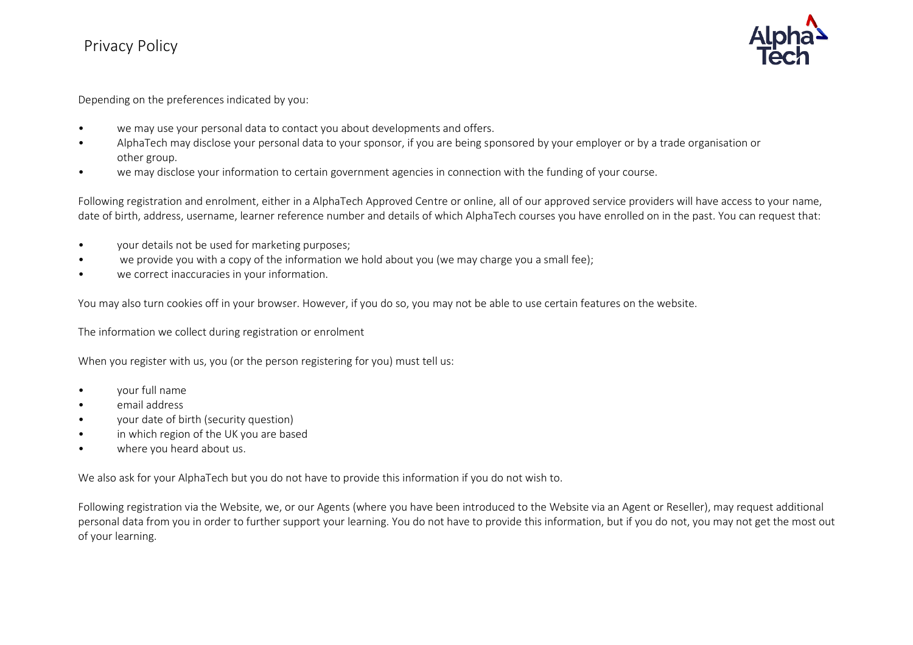# Privacy Policy



Depending on the preferences indicated by you:

- we may use your personal data to contact you about developments and offers.
- AlphaTech may disclose your personal data to your sponsor, if you are being sponsored by your employer or by a trade organisation or other group.
- we may disclose your information to certain government agencies in connection with the funding of your course.

Following registration and enrolment, either in a AlphaTech Approved Centre or online, all of our approved service providers will have access to your name, date of birth, address, username, learner reference number and details of which AlphaTech courses you have enrolled on in the past. You can request that:

- your details not be used for marketing purposes;
- we provide you with a copy of the information we hold about you (we may charge you a small fee);
- we correct inaccuracies in your information.

You may also turn cookies off in your browser. However, if you do so, you may not be able to use certain features on the website.

The information we collect during registration or enrolment

When you register with us, you (or the person registering for you) must tell us:

- your full name
- email address
- your date of birth (security question)
- in which region of the UK you are based
- where you heard about us.

We also ask for your AlphaTech but you do not have to provide this information if you do not wish to.

Following registration via the Website, we, or our Agents (where you have been introduced to the Website via an Agent or Reseller), may request additional personal data from you in order to further support your learning. You do not have to provide this information, but if you do not, you may not get the most out of your learning.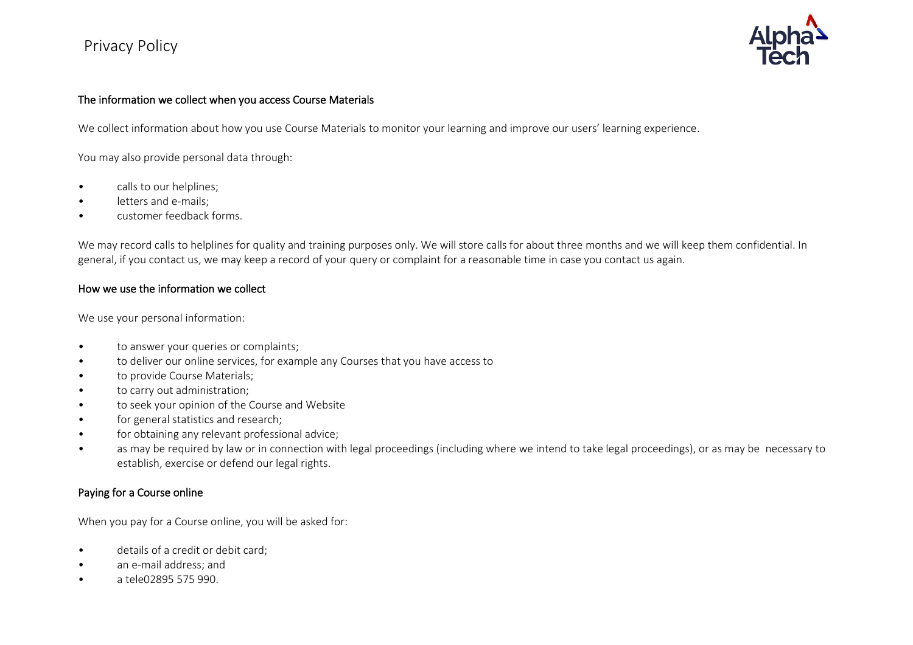# Privacy Policy



## The information we collect when you access Course Materials

We collect information about how you use Course Materials to monitor your learning and improve our users' learning experience.

You may also provide personal data through:

- calls to our helplines;
- letters and e-mails;
- customer feedback forms.

We may record calls to helplines for quality and training purposes only. We will store calls for about three months and we will keep them confidential. In general, if you contact us, we may keep a record of your query or complaint for a reasonable time in case you contact us again.

### How we use the information we collect

We use your personal information:

- to answer your queries or complaints;
- to deliver our online services, for example any Courses that you have access to
- to provide Course Materials;
- to carry out administration;
- to seek your opinion of the Course and Website
- for general statistics and research;
- for obtaining any relevant professional advice;
- as may be required by law or in connection with legal proceedings (including where we intend to take legal proceedings), or as may be necessary to establish, exercise or defend our legal rights.

## Paying for a Course online

When you pay for a Course online, you will be asked for:

- details of a credit or debit card;
- an e-mail address; and
- a tele02895 575 990.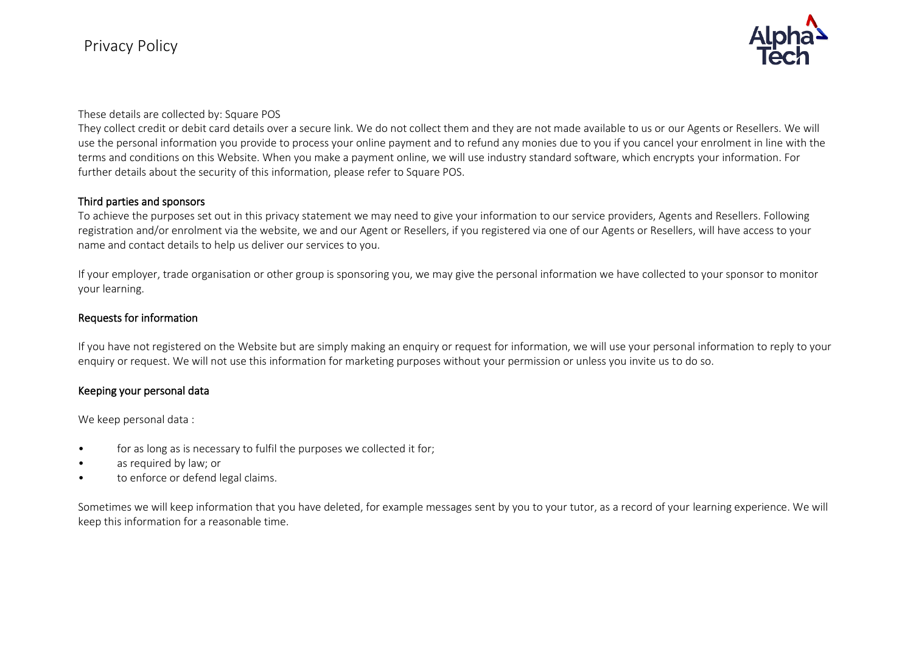

These details are collected by: Square POS

They collect credit or debit card details over a secure link. We do not collect them and they are not made available to us or our Agents or Resellers. We will use the personal information you provide to process your online payment and to refund any monies due to you if you cancel your enrolment in line with the terms and conditions on this Website. When you make a payment online, we will use industry standard software, which encrypts your information. For further details about the security of this information, please refer to Square POS.

#### Third parties and sponsors

To achieve the purposes set out in this privacy statement we may need to give your information to our service providers, Agents and Resellers. Following registration and/or enrolment via the website, we and our Agent or Resellers, if you registered via one of our Agents or Resellers, will have access to your name and contact details to help us deliver our services to you.

If your employer, trade organisation or other group is sponsoring you, we may give the personal information we have collected to your sponsor to monitor your learning.

## Requests for information

If you have not registered on the Website but are simply making an enquiry or request for information, we will use your personal information to reply to your enquiry or request. We will not use this information for marketing purposes without your permission or unless you invite us to do so.

## Keeping your personal data

We keep personal data :

- for as long as is necessary to fulfil the purposes we collected it for;
- as required by law; or
- to enforce or defend legal claims.

Sometimes we will keep information that you have deleted, for example messages sent by you to your tutor, as a record of your learning experience. We will keep this information for a reasonable time.